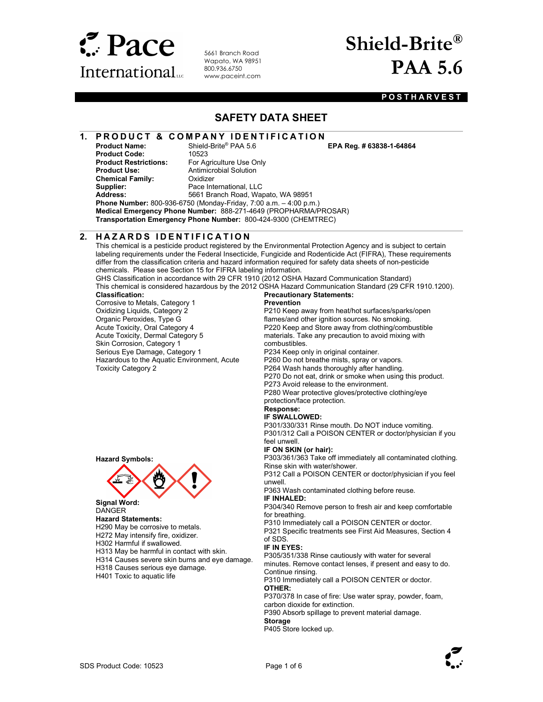

5661 Branch Road Wapato, WA 98951 800.936.6750 www.paceint.com

## Shield-Brite® PAA 5.6

### **POSTHARVEST**

### SAFETY DATA SHEET

### 1. PRODUCT & COMPANY IDENTIFICATION<br>Product Name: Shield-Brite® PAA 5.6 EPA Reg. # 63838-1-64864

**Product Code:** 10523<br> **Product Restrictions:** For Ad **Product Use:** Antimicrobial Solution<br> **Chemical Family:** Cxidizer **Chemical Family:** Supplier: Pace International, LLC<br>
Address: 5661 Branch Road. War

 $\overline{a}$ 

For Agriculture Use Only 5661 Branch Road, Wapato, WA 98951

Phone Number: 800-936-6750 (Monday-Friday, 7:00 a.m. – 4:00 p.m.) Medical Emergency Phone Number: 888-271-4649 (PROPHARMA/PROSAR) Transportation Emergency Phone Number: 800-424-9300 (CHEMTREC)

 $\overline{a}$ 2. HAZARDS IDENTIFICATION

Hazardous to the Aquatic Environment, Acute

Corrosive to Metals, Category 1 Oxidizing Liquids, Category 2 Organic Peroxides, Type G Acute Toxicity, Oral Category 4 Acute Toxicity, Dermal Category 5 Skin Corrosion, Category 1 Serious Eye Damage, Category 1

This chemical is a pesticide product registered by the Environmental Protection Agency and is subject to certain labeling requirements under the Federal Insecticide, Fungicide and Rodenticide Act (FIFRA), These requirements differ from the classification criteria and hazard information required for safety data sheets of non-pesticide chemicals. Please see Section 15 for FIFRA labeling information.

GHS Classification in accordance with 29 CFR 1910 (2012 OSHA Hazard Communication Standard) This chemical is considered hazardous by the 2012 OSHA Hazard Communication Standard (29 CFR 1910.1200). Classification: Precautionary Statements:

### Prevention

P210 Keep away from heat/hot surfaces/sparks/open flames/and other ignition sources. No smoking. P220 Keep and Store away from clothing/combustible materials. Take any precaution to avoid mixing with combustibles.

P234 Keep only in original container.

P260 Do not breathe mists, spray or vapors.

P264 Wash hands thoroughly after handling.

P270 Do not eat, drink or smoke when using this product.

P273 Avoid release to the environment.

P280 Wear protective gloves/protective clothing/eye

protection/face protection.

#### Response: IF SWALLOWED:

P301/330/331 Rinse mouth. Do NOT induce vomiting.

P301/312 Call a POISON CENTER or doctor/physician if you feel unwell.

#### IF ON SKIN (or hair):

P303/361/363 Take off immediately all contaminated clothing. Rinse skin with water/shower.

P312 Call a POISON CENTER or doctor/physician if you feel unwell.

P363 Wash contaminated clothing before reuse.

IF INHALED:

P304/340 Remove person to fresh air and keep comfortable for breathing.

P310 Immediately call a POISON CENTER or doctor.

P321 Specific treatments see First Aid Measures, Section 4 of SDS.

### IF IN EYES:

P305/351/338 Rinse cautiously with water for several minutes. Remove contact lenses, if present and easy to do. Continue rinsing.

P310 Immediately call a POISON CENTER or doctor. OTHER:

P370/378 In case of fire: Use water spray, powder, foam, carbon dioxide for extinction.

P390 Absorb spillage to prevent material damage. **Storage** 

P405 Store locked up.





### Signal Word:

**DANGER** 

Hazard Symbols:

Toxicity Category 2

- Hazard Statements: H290 May be corrosive to metals.
- H272 May intensify fire, oxidizer.

H302 Harmful if swallowed.

H313 May be harmful in contact with skin.

H314 Causes severe skin burns and eye damage.

- H318 Causes serious eye damage.
- H401 Toxic to aquatic life

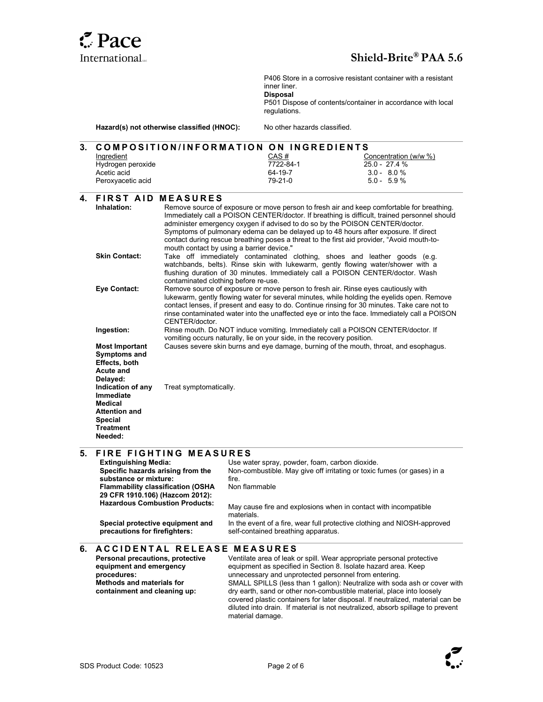

 $\overline{a}$ 

 $\overline{a}$ 

 $\overline{a}$ 

 $\overline{a}$ 

Hazard(s) not otherwise classified (HNOC): P406 Store in a corrosive resistant container with a resistant inner liner. **Disposal** P501 Dispose of contents/container in accordance with local regulations. No other hazards classified. 3. COMPOSITION/INFORMATION ON INGREDIENTS **Ingredient** Hydrogen peroxide Acetic acid Peroxyacetic acid  $CAS#$ 7722-84-1 64-19-7 79-21-0 Concentration (w/w %) 25.0 - 27.4 % 3.0 - 8.0 % 5.0 - 5.9 % **4. FIRST AID MEASURES**<br>Inhalation: Remove source of Remove source of exposure or move person to fresh air and keep comfortable for breathing. Immediately call a POISON CENTER/doctor. If breathing is difficult, trained personnel should administer emergency oxygen if advised to do so by the POISON CENTER/doctor. Symptoms of pulmonary edema can be delayed up to 48 hours after exposure. If direct contact during rescue breathing poses a threat to the first aid provider, "Avoid mouth-tomouth contact by using a barrier device." Skin Contact: Take off immediately contaminated clothing, shoes and leather goods (e.g. watchbands, belts). Rinse skin with lukewarm, gently flowing water/shower with a flushing duration of 30 minutes. Immediately call a POISON CENTER/doctor. Wash contaminated clothing before re-use. Eye Contact: Remove source of exposure or move person to fresh air. Rinse eyes cautiously with lukewarm, gently flowing water for several minutes, while holding the eyelids open. Remove contact lenses, if present and easy to do. Continue rinsing for 30 minutes. Take care not to rinse contaminated water into the unaffected eye or into the face. Immediately call a POISON CENTER/doctor. Ingestion: Rinse mouth. Do NOT induce vomiting. Immediately call a POISON CENTER/doctor. If vomiting occurs naturally, lie on your side, in the recovery position. Most Important Symptoms and Effects, both Acute and Delayed: Causes severe skin burns and eye damage, burning of the mouth, throat, and esophagus. Indication of any Immediate Medical Attention and **Special Treatment** Needed: Treat symptomatically. 5. FIRE FIGHTING MEASURES<br>Extinguishing Media: Use wa

Use water spray, powder, foam, carbon dioxide. Specific hazards arising from the substance or mixture: Non-combustible. May give off irritating or toxic fumes (or gases) in a fire. Flammability classification (OSHA 29 CFR 1910.106) (Hazcom 2012): Non flammable May cause fire and explosions when in contact with incompatible materials. Special protective equipment and precautions for firefighters: In the event of a fire, wear full protective clothing and NIOSH-approved self-contained breathing apparatus.

### 6. A C CIDENTAL RELEASE MEASURES

| Ventilate area of leak or spill. Wear appropriate personal protective                              |
|----------------------------------------------------------------------------------------------------|
| equipment as specified in Section 8. Isolate hazard area. Keep                                     |
| unnecessary and unprotected personnel from entering.                                               |
| SMALL SPILLS (less than 1 gallon): Neutralize with soda ash or cover with                          |
| dry earth, sand or other non-combustible material, place into loosely                              |
| covered plastic containers for later disposal. If neutralized, material can be                     |
| diluted into drain. If material is not neutralized, absorb spillage to prevent<br>material damage. |
|                                                                                                    |

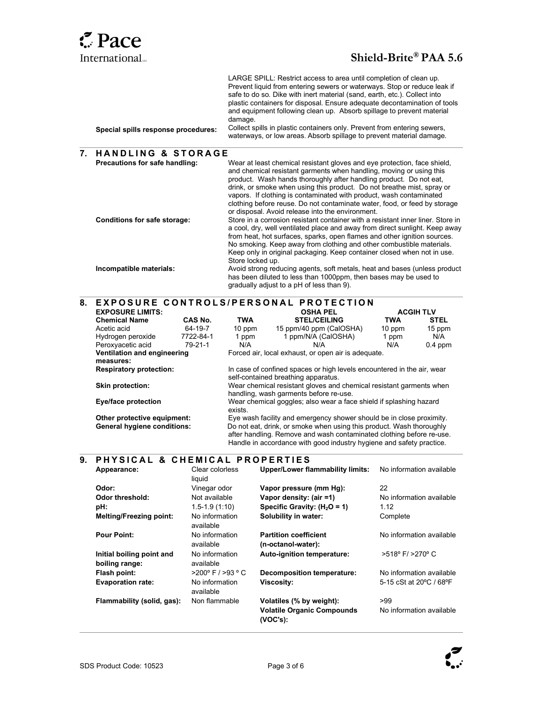# **Pace**

### International...<br>
Shield-Brite® PAA 5.6

|                                     | LARGE SPILL: Restrict access to area until completion of clean up.<br>Prevent liquid from entering sewers or waterways. Stop or reduce leak if<br>safe to do so. Dike with inert material (sand, earth, etc.). Collect into<br>plastic containers for disposal. Ensure adequate decontamination of tools<br>and equipment following clean up. Absorb spillage to prevent material |
|-------------------------------------|-----------------------------------------------------------------------------------------------------------------------------------------------------------------------------------------------------------------------------------------------------------------------------------------------------------------------------------------------------------------------------------|
| Special spills response procedures: | damage.<br>Collect spills in plastic containers only. Prevent from entering sewers,<br>waterways, or low areas. Absorb spillage to prevent material damage.                                                                                                                                                                                                                       |

## .<br>7. HANDLING & STORAGE

| Precautions for safe handling: | Wear at least chemical resistant gloves and eye protection, face shield,<br>and chemical resistant garments when handling, moving or using this<br>product. Wash hands thoroughly after handling product. Do not eat.<br>drink, or smoke when using this product. Do not breathe mist, spray or<br>vapors. If clothing is contaminated with product, wash contaminated<br>clothing before reuse. Do not contaminate water, food, or feed by storage<br>or disposal. Avoid release into the environment. |
|--------------------------------|---------------------------------------------------------------------------------------------------------------------------------------------------------------------------------------------------------------------------------------------------------------------------------------------------------------------------------------------------------------------------------------------------------------------------------------------------------------------------------------------------------|
| Conditions for safe storage:   | Store in a corrosion resistant container with a resistant inner liner. Store in<br>a cool, dry, well ventilated place and away from direct sunlight. Keep away<br>from heat, hot surfaces, sparks, open flames and other ignition sources.<br>No smoking. Keep away from clothing and other combustible materials.<br>Keep only in original packaging. Keep container closed when not in use.<br>Store locked up.                                                                                       |
| Incompatible materials:        | Avoid strong reducing agents, soft metals, heat and bases (unless product)<br>has been diluted to less than 1000ppm, then bases may be used to<br>gradually adjust to a pH of less than 9).                                                                                                                                                                                                                                                                                                             |

## 8. EXPOSURE CONTROLS/PERSONAL PROTECTION

| <b>EXPOSURE LIMITS:</b>            |           |                                                                                                                                                                                                                      | <b>OSHA PEL</b>                                     | <b>ACGIH TLV</b> |             |
|------------------------------------|-----------|----------------------------------------------------------------------------------------------------------------------------------------------------------------------------------------------------------------------|-----------------------------------------------------|------------------|-------------|
| <b>Chemical Name</b>               | CAS No.   | TWA                                                                                                                                                                                                                  | <b>STEL/CEILING</b>                                 | <b>TWA</b>       | <b>STEL</b> |
| Acetic acid                        | 64-19-7   | $10$ ppm                                                                                                                                                                                                             | 15 ppm/40 ppm (CalOSHA)                             | 10 ppm           | 15 ppm      |
| Hydrogen peroxide                  | 7722-84-1 | 1 ppm                                                                                                                                                                                                                | 1 ppm/N/A (CalOSHA)                                 | 1 ppm            | N/A         |
| Peroxyacetic acid                  | 79-21-1   | N/A                                                                                                                                                                                                                  | N/A                                                 | N/A              | $0.4$ ppm   |
| Ventilation and engineering        |           |                                                                                                                                                                                                                      | Forced air, local exhaust, or open air is adequate. |                  |             |
| measures:                          |           |                                                                                                                                                                                                                      |                                                     |                  |             |
| <b>Respiratory protection:</b>     |           | In case of confined spaces or high levels encountered in the air, wear<br>self-contained breathing apparatus.                                                                                                        |                                                     |                  |             |
| <b>Skin protection:</b>            |           | Wear chemical resistant gloves and chemical resistant garments when<br>handling, wash garments before re-use.                                                                                                        |                                                     |                  |             |
| Eye/face protection                |           | Wear chemical goggles; also wear a face shield if splashing hazard<br>exists.                                                                                                                                        |                                                     |                  |             |
| Other protective equipment:        |           | Eye wash facility and emergency shower should be in close proximity.                                                                                                                                                 |                                                     |                  |             |
| <b>General hygiene conditions:</b> |           | Do not eat, drink, or smoke when using this product. Wash thoroughly<br>after handling. Remove and wash contaminated clothing before re-use.<br>Handle in accordance with good industry hygiene and safety practice. |                                                     |                  |             |

## 9. PHYSICAL & CHEMICAL PROPERTIES

| Appearance:                                 | Clear colorless<br>liquid          | <b>Upper/Lower flammability limits:</b>            | No information available           |
|---------------------------------------------|------------------------------------|----------------------------------------------------|------------------------------------|
| Odor:                                       | Vinegar odor                       | Vapor pressure (mm Hg):                            | 22                                 |
| Odor threshold:                             | Not available                      | Vapor density: (air =1)                            | No information available           |
| pH:                                         | $1.5 - 1.9(1.10)$                  | Specific Gravity: $(H2O = 1)$                      | 1.12                               |
| <b>Melting/Freezing point:</b>              | No information<br>available        | Solubility in water:                               | Complete                           |
| <b>Pour Point:</b>                          | No information<br>available        | <b>Partition coefficient</b><br>(n-octanol-water): | No information available           |
| Initial boiling point and<br>boiling range: | No information<br>available        | Auto-ignition temperature:                         | $>518^{\circ}$ F/ $>270^{\circ}$ C |
| Flash point:                                | $>200^{\circ}$ F / $>93^{\circ}$ C | <b>Decomposition temperature:</b>                  | No information available           |
| <b>Evaporation rate:</b>                    | No information<br>available        | <b>Viscosity:</b>                                  | 5-15 cSt at 20°C / 68°F            |
| Flammability (solid, gas):                  | Non flammable                      | Volatiles (% by weight):                           | >99                                |
|                                             |                                    | <b>Volatile Organic Compounds</b><br>(VOC's):      | No information available           |

 $\overline{\phantom{a}}$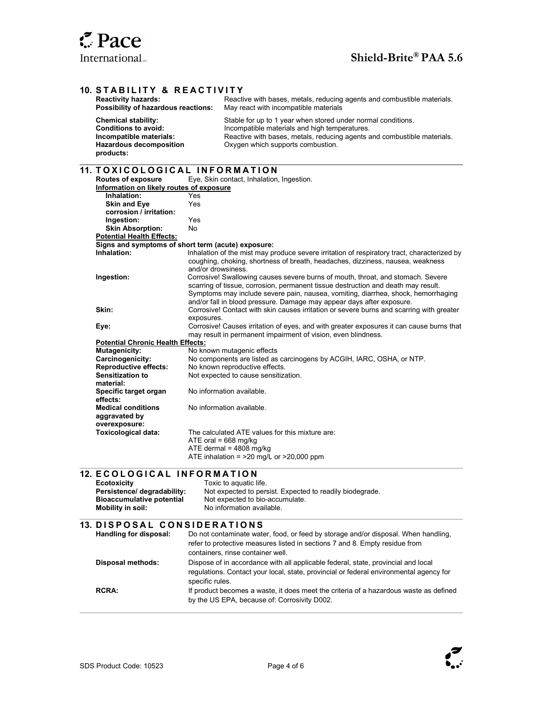

### 10. STABILITY & REACTIVITY

| <b>Reactivity hazards:</b>                                                                                                          | Reactive with bases, metals, reducing agents and combustible materials.                                                                                                                                                       |
|-------------------------------------------------------------------------------------------------------------------------------------|-------------------------------------------------------------------------------------------------------------------------------------------------------------------------------------------------------------------------------|
| Possibility of hazardous reactions:                                                                                                 | May react with incompatible materials                                                                                                                                                                                         |
| <b>Chemical stability:</b><br><b>Conditions to avoid:</b><br>Incompatible materials:<br><b>Hazardous decomposition</b><br>products: | Stable for up to 1 year when stored under normal conditions.<br>Incompatible materials and high temperatures.<br>Reactive with bases, metals, reducing agents and combustible materials.<br>Oxygen which supports combustion. |

## .<br>11. TOXICOLOGICAL INFORMATION

| Routes of exposure                       | Eye, Skin contact, Inhalation, Ingestion.                                                                                                                 |
|------------------------------------------|-----------------------------------------------------------------------------------------------------------------------------------------------------------|
| Information on likely routes of exposure |                                                                                                                                                           |
| Inhalation:                              | Yes                                                                                                                                                       |
| <b>Skin and Eye</b>                      | Yes                                                                                                                                                       |
| corrosion / irritation:                  |                                                                                                                                                           |
| Ingestion:                               | Yes                                                                                                                                                       |
| <b>Skin Absorption:</b>                  | No                                                                                                                                                        |
| <b>Potential Health Effects:</b>         |                                                                                                                                                           |
|                                          | Signs and symptoms of short term (acute) exposure:                                                                                                        |
| Inhalation:                              | Inhalation of the mist may produce severe irritation of respiratory tract, characterized by                                                               |
|                                          | coughing, choking, shortness of breath, headaches, dizziness, nausea, weakness                                                                            |
|                                          | and/or drowsiness.                                                                                                                                        |
| Ingestion:                               | Corrosive! Swallowing causes severe burns of mouth, throat, and stomach. Severe                                                                           |
|                                          | scarring of tissue, corrosion, permanent tissue destruction and death may result.                                                                         |
|                                          | Symptoms may include severe pain, nausea, vomiting, diarrhea, shock, hemorrhaging                                                                         |
|                                          | and/or fall in blood pressure. Damage may appear days after exposure.                                                                                     |
| Skin:                                    | Corrosive! Contact with skin causes irritation or severe burns and scarring with greater                                                                  |
|                                          | exposures.                                                                                                                                                |
| Eye:                                     | Corrosive! Causes irritation of eyes, and with greater exposures it can cause burns that<br>may result in permanent impairment of vision, even blindness. |
| <b>Potential Chronic Health Effects:</b> |                                                                                                                                                           |
| Mutagenicity:                            | No known mutagenic effects                                                                                                                                |
| Carcinogenicity:                         | No components are listed as carcinogens by ACGIH, IARC, OSHA, or NTP.                                                                                     |
| <b>Reproductive effects:</b>             | No known reproductive effects.                                                                                                                            |
| <b>Sensitization to</b>                  | Not expected to cause sensitization.                                                                                                                      |
| material:                                |                                                                                                                                                           |
| Specific target organ                    | No information available.                                                                                                                                 |
| effects:                                 |                                                                                                                                                           |
| <b>Medical conditions</b>                | No information available.                                                                                                                                 |
| aggravated by                            |                                                                                                                                                           |
| overexposure:                            |                                                                                                                                                           |
| <b>Toxicological data:</b>               | The calculated ATE values for this mixture are:                                                                                                           |
|                                          | ATE oral = $668 \text{ mg/kg}$                                                                                                                            |
|                                          | ATE dermal = $4808$ mg/kg                                                                                                                                 |
|                                          | ATE inhalation = $>20$ mg/L or $>20,000$ ppm                                                                                                              |

## 12. E COLOGICAL INFORMATION

| <b>Ecotoxicity</b>               | Toxic to aguatic life.                                   |
|----------------------------------|----------------------------------------------------------|
| Persistence/ degradability:      | Not expected to persist. Expected to readily biodegrade. |
| <b>Bioaccumulative potential</b> | Not expected to bio-accumulate.                          |
| Mobility in soil:                | No information available.                                |
|                                  |                                                          |

## 13. DISPOSAL CONSIDERATIONS

| Handling for disposal:   | Do not contaminate water, food, or feed by storage and/or disposal. When handling,     |
|--------------------------|----------------------------------------------------------------------------------------|
|                          | refer to protective measures listed in sections 7 and 8. Empty residue from            |
|                          | containers, rinse container well.                                                      |
| <b>Disposal methods:</b> | Dispose of in accordance with all applicable federal, state, provincial and local      |
|                          | requiations. Contact your local, state, provincial or federal environmental agency for |
|                          | specific rules.                                                                        |
| <b>RCRA:</b>             | If product becomes a waste, it does meet the criteria of a hazardous waste as defined  |
|                          | by the US EPA, because of: Corrosivity D002.                                           |



l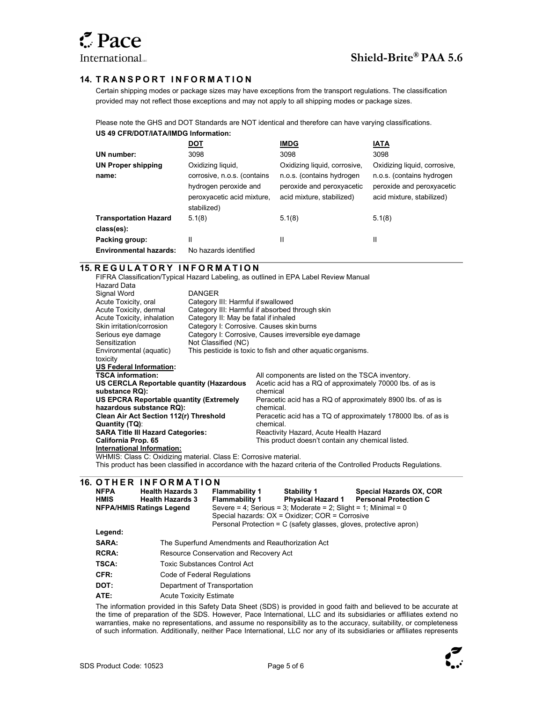$\overline{a}$ 

### 14. TRANSPORT INFORMATION

Certain shipping modes or package sizes may have exceptions from the transport regulations. The classification provided may not reflect those exceptions and may not apply to all shipping modes or package sizes.

Please note the GHS and DOT Standards are NOT identical and therefore can have varying classifications. US 49 CFR/DOT/IATA/IMDG Information:

|                                    | <u>DOT</u>                                                                                              | <b>IMDG</b>                                                                                                         | <b>IATA</b>                                                                                                         |
|------------------------------------|---------------------------------------------------------------------------------------------------------|---------------------------------------------------------------------------------------------------------------------|---------------------------------------------------------------------------------------------------------------------|
| UN number:                         | 3098                                                                                                    | 3098                                                                                                                | 3098                                                                                                                |
| <b>UN Proper shipping</b><br>name: | Oxidizing liquid,<br>corrosive, n.o.s. (contains<br>hydrogen peroxide and<br>peroxyacetic acid mixture, | Oxidizing liquid, corrosive,<br>n.o.s. (contains hydrogen<br>peroxide and peroxyacetic<br>acid mixture, stabilized) | Oxidizing liquid, corrosive,<br>n.o.s. (contains hydrogen<br>peroxide and peroxyacetic<br>acid mixture, stabilized) |
| <b>Transportation Hazard</b>       | stabilized)<br>5.1(8)                                                                                   | 5.1(8)                                                                                                              | 5.1(8)                                                                                                              |
| class(es):                         |                                                                                                         |                                                                                                                     |                                                                                                                     |
| Packing group:                     | II                                                                                                      | Ш                                                                                                                   | Ш                                                                                                                   |
| <b>Environmental hazards:</b>      | No hazards identified                                                                                   |                                                                                                                     |                                                                                                                     |

### **15. REGULATORY INFORMATION**

FIFRA Classification/Typical Hazard Labeling, as outlined in EPA Label Review Manual Hazard Data Signal Word DANGER<br>
Acute Toxicity, oral Category Acute Toxicity, oral Category III: Harmful if swallowed<br>
Acute Toxicity, dermal Category III: Harmful if absorbed t Acute Toxicity, dermal Category III: Harmful if absorbed through skin<br>Acute Toxicity, inhalation Category II: May be fatal if inhaled Acute Toxicity, inhalation Category II: May be fatal if inhaled<br>Skin irritation/corrosion Category I: Corrosive. Causes skin Category I: Corrosive. Causes skin burns Serious eye damage and Category I: Corrosive, Causes irreversible eye damage<br>Sensitization and Classified (NC) Not Classified (NC) Environmental (aquatic) toxicity This pesticide is toxic to fish and other aquatic organisms. US Federal Information:<br>TSCA information: All components are listed on the TSCA inventory. US CERCLA Reportable quantity (Hazardous substance RQ): Acetic acid has a RQ of approximately 70000 lbs. of as is chemical US EPCRA Reportable quantity (Extremely hazardous substance RQ): Peracetic acid has a RQ of approximately 8900 lbs. of as is chemical. Clean Air Act Section 112(r) Threshold Quantity (TQ): Peracetic acid has a TQ of approximately 178000 lbs. of as is chemical. SARA Title III Hazard Categories: Reactivity Hazard, Acute Health Hazard<br>
California Prop. 65 Cass California Hay chemic This product doesn't contain any chemical listed. International Information: WHMIS: Class C: Oxidizing material. Class E: Corrosive material. This product has been classified in accordance with the hazard criteria of the Controlled Products Regulations.

## **16. OTHER INFORMATION**

|                                                     |              | 0. U I II L I\ I I II I U I\ IVI A I I U I I    |                                                  |                                                                    |                              |
|-----------------------------------------------------|--------------|-------------------------------------------------|--------------------------------------------------|--------------------------------------------------------------------|------------------------------|
|                                                     | <b>NFPA</b>  | <b>Health Hazards 3</b>                         | <b>Flammability 1</b>                            | <b>Stability 1</b>                                                 | Special Hazards OX, COR      |
|                                                     | <b>HMIS</b>  | <b>Health Hazards 3</b>                         | <b>Flammability 1</b>                            | <b>Physical Hazard 1</b>                                           | <b>Personal Protection C</b> |
|                                                     |              | <b>NFPA/HMIS Ratings Legend</b>                 |                                                  | Severe = 4; Serious = 3; Moderate = 2; Slight = 1; Minimal = 0     |                              |
|                                                     |              | Special hazards: OX = Oxidizer; COR = Corrosive |                                                  |                                                                    |                              |
|                                                     |              |                                                 |                                                  | Personal Protection = C (safety glasses, gloves, protective apron) |                              |
|                                                     | Legend:      |                                                 |                                                  |                                                                    |                              |
|                                                     | SARA:        |                                                 | The Superfund Amendments and Reauthorization Act |                                                                    |                              |
|                                                     | <b>RCRA:</b> |                                                 | Resource Conservation and Recovery Act           |                                                                    |                              |
| <b>TSCA:</b><br><b>Toxic Substances Control Act</b> |              |                                                 |                                                  |                                                                    |                              |
|                                                     | CFR:         | Code of Federal Regulations                     |                                                  |                                                                    |                              |
|                                                     | DOT:         | Department of Transportation                    |                                                  |                                                                    |                              |
|                                                     | ATE:         | <b>Acute Toxicity Estimate</b>                  |                                                  |                                                                    |                              |
|                                                     |              |                                                 |                                                  |                                                                    |                              |

The information provided in this Safety Data Sheet (SDS) is provided in good faith and believed to be accurate at the time of preparation of the SDS. However, Pace International, LLC and its subsidiaries or affiliates extend no warranties, make no representations, and assume no responsibility as to the accuracy, suitability, or completeness of such information. Additionally, neither Pace International, LLC nor any of its subsidiaries or affiliates represents